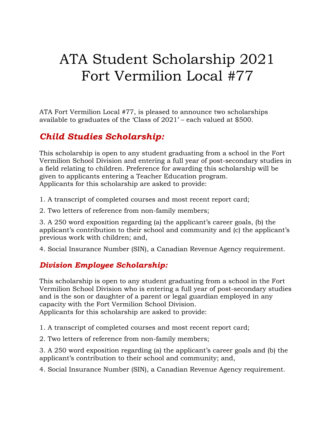# ATA Student Scholarship 2021 Fort Vermilion Local #77

ATA Fort Vermilion Local #77, is pleased to announce two scholarships available to graduates of the 'Class of 2021' – each valued at \$500.

## *Child Studies Scholarship:*

This scholarship is open to any student graduating from a school in the Fort Vermilion School Division and entering a full year of post-secondary studies in a field relating to children. Preference for awarding this scholarship will be given to applicants entering a Teacher Education program. Applicants for this scholarship are asked to provide:

1. A transcript of completed courses and most recent report card;

2. Two letters of reference from non-family members;

3. A 250 word exposition regarding (a) the applicant's career goals, (b) the applicant's contribution to their school and community and (c) the applicant's previous work with children; and,

4. Social Insurance Number (SIN), a Canadian Revenue Agency requirement.

#### *Division Employee Scholarship:*

This scholarship is open to any student graduating from a school in the Fort Vermilion School Division who is entering a full year of post-secondary studies and is the son or daughter of a parent or legal guardian employed in any capacity with the Fort Vermilion School Division. Applicants for this scholarship are asked to provide:

1. A transcript of completed courses and most recent report card;

2. Two letters of reference from non-family members;

3. A 250 word exposition regarding (a) the applicant's career goals and (b) the applicant's contribution to their school and community; and,

4. Social Insurance Number (SIN), a Canadian Revenue Agency requirement.